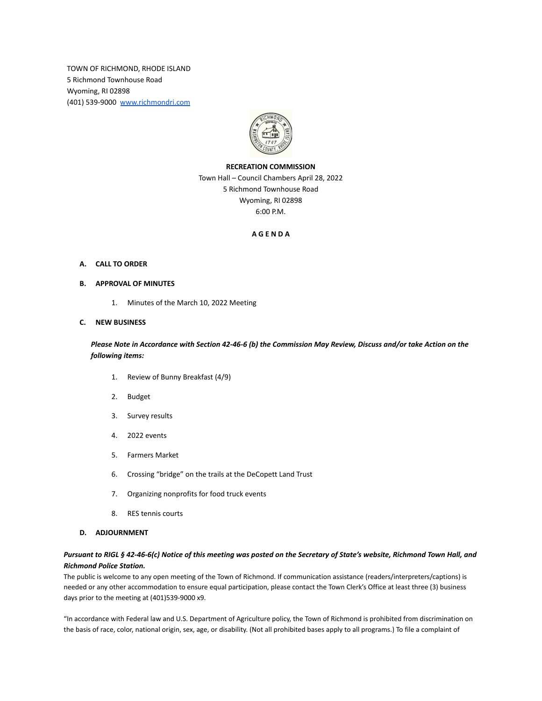TOWN OF RICHMOND, RHODE ISLAND 5 Richmond Townhouse Road Wyoming, RI 02898 (401) 539-9000 [www.richmondri.com](http://www.richmondri.com/)



## **RECREATION COMMISSION**

Town Hall – Council Chambers April 28, 2022 5 Richmond Townhouse Road Wyoming, RI 02898 6:00 P.M.

## **A G E N D A**

## **A. CALL TO ORDER**

## **B. APPROVAL OF MINUTES**

1. Minutes of the March 10, 2022 Meeting

#### **C. NEW BUSINESS**

# *Please Note in Accordance with Section 42-46-6 (b) the Commission May Review, Discuss and/or take Action on the following items:*

- 1. Review of Bunny Breakfast (4/9)
- 2. Budget
- 3. Survey results
- 4. 2022 events
- 5. Farmers Market
- 6. Crossing "bridge" on the trails at the DeCopett Land Trust
- 7. Organizing nonprofits for food truck events
- 8. RES tennis courts

## **D. ADJOURNMENT**

## *Pursuant to RIGL § 42-46-6(c) Notice of this meeting was posted on the Secretary of State's website, Richmond Town Hall, and Richmond Police Station.*

The public is welcome to any open meeting of the Town of Richmond. If communication assistance (readers/interpreters/captions) is needed or any other accommodation to ensure equal participation, please contact the Town Clerk's Office at least three (3) business days prior to the meeting at (401)539-9000 x9.

"In accordance with Federal law and U.S. Department of Agriculture policy, the Town of Richmond is prohibited from discrimination on the basis of race, color, national origin, sex, age, or disability. (Not all prohibited bases apply to all programs.) To file a complaint of